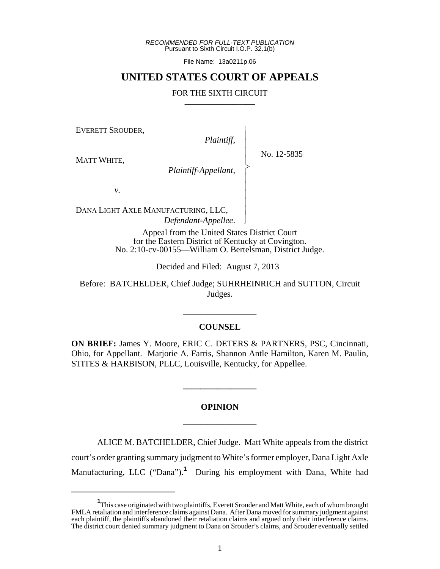*RECOMMENDED FOR FULL-TEXT PUBLICATION* Pursuant to Sixth Circuit I.O.P. 32.1(b)

File Name: 13a0211p.06

## **UNITED STATES COURT OF APPEALS**

### FOR THE SIXTH CIRCUIT

EVERETT SROUDER,

*Plaintiff*,

 $\overline{\phantom{a}}$ - - - > , - - - - - N

MATT WHITE,

No. 12-5835

*Plaintiff-Appellant*,

*v.*

DANA LIGHT AXLE MANUFACTURING, LLC, *Defendant-Appellee*.

> Appeal from the United States District Court for the Eastern District of Kentucky at Covington. No. 2:10-cv-00155—William O. Bertelsman, District Judge.

> > Decided and Filed: August 7, 2013

Before: BATCHELDER, Chief Judge; SUHRHEINRICH and SUTTON, Circuit Judges.

### **COUNSEL**

**\_\_\_\_\_\_\_\_\_\_\_\_\_\_\_\_\_**

**ON BRIEF:** James Y. Moore, ERIC C. DETERS & PARTNERS, PSC, Cincinnati, Ohio, for Appellant. Marjorie A. Farris, Shannon Antle Hamilton, Karen M. Paulin, STITES & HARBISON, PLLC, Louisville, Kentucky, for Appellee.

# **OPINION \_\_\_\_\_\_\_\_\_\_\_\_\_\_\_\_\_**

**\_\_\_\_\_\_\_\_\_\_\_\_\_\_\_\_\_**

ALICE M. BATCHELDER, Chief Judge. Matt White appeals from the district court's order granting summary judgment to White's former employer, Dana Light Axle Manufacturing, LLC ("Dana").<sup>1</sup> During his employment with Dana, White had

**<sup>1</sup>** This case originated with two plaintiffs, Everett Srouder and Matt White, each of whom brought FMLA retaliation and interference claims against Dana. After Dana moved for summary judgment against each plaintiff, the plaintiffs abandoned their retaliation claims and argued only their interference claims. The district court denied summary judgment to Dana on Srouder's claims, and Srouder eventually settled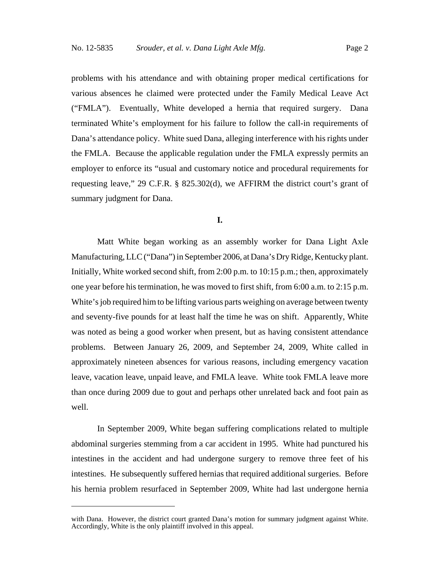problems with his attendance and with obtaining proper medical certifications for various absences he claimed were protected under the Family Medical Leave Act ("FMLA"). Eventually, White developed a hernia that required surgery. Dana terminated White's employment for his failure to follow the call-in requirements of Dana's attendance policy. White sued Dana, alleging interference with his rights under the FMLA. Because the applicable regulation under the FMLA expressly permits an employer to enforce its "usual and customary notice and procedural requirements for requesting leave," 29 C.F.R. § 825.302(d), we AFFIRM the district court's grant of summary judgment for Dana.

### **I.**

Matt White began working as an assembly worker for Dana Light Axle Manufacturing, LLC ("Dana") in September 2006, at Dana's Dry Ridge, Kentucky plant. Initially, White worked second shift, from 2:00 p.m. to 10:15 p.m.; then, approximately one year before his termination, he was moved to first shift, from 6:00 a.m. to 2:15 p.m. White's job required him to be lifting various parts weighing on average between twenty and seventy-five pounds for at least half the time he was on shift. Apparently, White was noted as being a good worker when present, but as having consistent attendance problems. Between January 26, 2009, and September 24, 2009, White called in approximately nineteen absences for various reasons, including emergency vacation leave, vacation leave, unpaid leave, and FMLA leave. White took FMLA leave more than once during 2009 due to gout and perhaps other unrelated back and foot pain as well.

In September 2009, White began suffering complications related to multiple abdominal surgeries stemming from a car accident in 1995. White had punctured his intestines in the accident and had undergone surgery to remove three feet of his intestines. He subsequently suffered hernias that required additional surgeries. Before his hernia problem resurfaced in September 2009, White had last undergone hernia

with Dana. However, the district court granted Dana's motion for summary judgment against White. Accordingly, White is the only plaintiff involved in this appeal.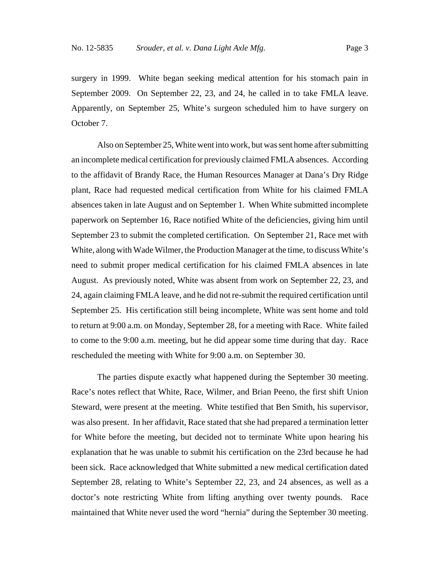surgery in 1999. White began seeking medical attention for his stomach pain in September 2009. On September 22, 23, and 24, he called in to take FMLA leave. Apparently, on September 25, White's surgeon scheduled him to have surgery on October 7.

Also on September 25, White went into work, but was sent home after submitting an incomplete medical certification for previously claimed FMLA absences. According to the affidavit of Brandy Race, the Human Resources Manager at Dana's Dry Ridge plant, Race had requested medical certification from White for his claimed FMLA absences taken in late August and on September 1. When White submitted incomplete paperwork on September 16, Race notified White of the deficiencies, giving him until September 23 to submit the completed certification. On September 21, Race met with White, along with Wade Wilmer, the Production Manager at the time, to discuss White's need to submit proper medical certification for his claimed FMLA absences in late August. As previously noted, White was absent from work on September 22, 23, and 24, again claiming FMLA leave, and he did not re-submit the required certification until September 25. His certification still being incomplete, White was sent home and told to return at 9:00 a.m. on Monday, September 28, for a meeting with Race. White failed to come to the 9:00 a.m. meeting, but he did appear some time during that day. Race rescheduled the meeting with White for 9:00 a.m. on September 30.

The parties dispute exactly what happened during the September 30 meeting. Race's notes reflect that White, Race, Wilmer, and Brian Peeno, the first shift Union Steward, were present at the meeting. White testified that Ben Smith, his supervisor, was also present. In her affidavit, Race stated that she had prepared a termination letter for White before the meeting, but decided not to terminate White upon hearing his explanation that he was unable to submit his certification on the 23rd because he had been sick. Race acknowledged that White submitted a new medical certification dated September 28, relating to White's September 22, 23, and 24 absences, as well as a doctor's note restricting White from lifting anything over twenty pounds. Race maintained that White never used the word "hernia" during the September 30 meeting.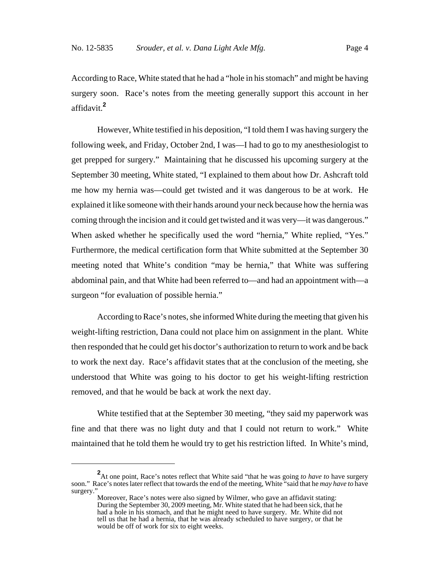According to Race, White stated that he had a "hole in his stomach" and might be having surgery soon. Race's notes from the meeting generally support this account in her affidavit.**<sup>2</sup>**

However, White testified in his deposition, "I told them I was having surgery the following week, and Friday, October 2nd, I was—I had to go to my anesthesiologist to get prepped for surgery." Maintaining that he discussed his upcoming surgery at the September 30 meeting, White stated, "I explained to them about how Dr. Ashcraft told me how my hernia was—could get twisted and it was dangerous to be at work. He explained it like someone with their hands around your neck because how the hernia was coming through the incision and it could get twisted and it was very—it was dangerous." When asked whether he specifically used the word "hernia," White replied, "Yes." Furthermore, the medical certification form that White submitted at the September 30 meeting noted that White's condition "may be hernia," that White was suffering abdominal pain, and that White had been referred to—and had an appointment with—a surgeon "for evaluation of possible hernia."

According to Race's notes, she informed White during the meeting that given his weight-lifting restriction, Dana could not place him on assignment in the plant. White then responded that he could get his doctor's authorization to return to work and be back to work the next day. Race's affidavit states that at the conclusion of the meeting, she understood that White was going to his doctor to get his weight-lifting restriction removed, and that he would be back at work the next day.

White testified that at the September 30 meeting, "they said my paperwork was fine and that there was no light duty and that I could not return to work." White maintained that he told them he would try to get his restriction lifted. In White's mind,

**<sup>2</sup>** At one point, Race's notes reflect that White said "that he was going *to have to* have surgery soon." Race's notes later reflect that towards the end of the meeting, White "said that he *may have to* have surgery."

Moreover, Race's notes were also signed by Wilmer, who gave an affidavit stating: During the September 30, 2009 meeting, Mr. White stated that he had been sick, that he had a hole in his stomach, and that he might need to have surgery. Mr. White did not tell us that he had a hernia, that he was already scheduled to have surgery, or that he would be off of work for six to eight weeks.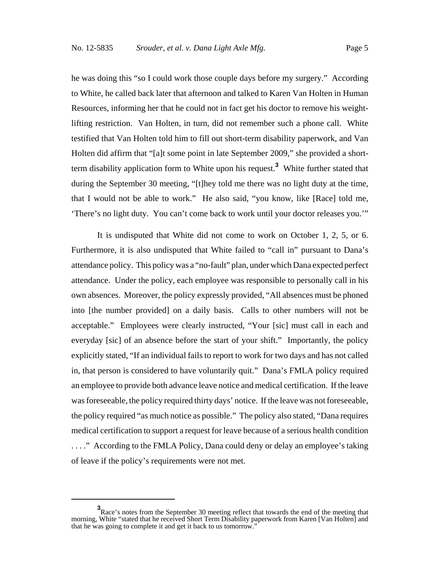he was doing this "so I could work those couple days before my surgery." According to White, he called back later that afternoon and talked to Karen Van Holten in Human Resources, informing her that he could not in fact get his doctor to remove his weightlifting restriction. Van Holten, in turn, did not remember such a phone call. White testified that Van Holten told him to fill out short-term disability paperwork, and Van Holten did affirm that "[a]t some point in late September 2009," she provided a shortterm disability application form to White upon his request.**<sup>3</sup>** White further stated that during the September 30 meeting, "[t]hey told me there was no light duty at the time, that I would not be able to work." He also said, "you know, like [Race] told me, 'There's no light duty. You can't come back to work until your doctor releases you.'"

It is undisputed that White did not come to work on October 1, 2, 5, or 6. Furthermore, it is also undisputed that White failed to "call in" pursuant to Dana's attendance policy. This policy was a "no-fault" plan, under which Dana expected perfect attendance. Under the policy, each employee was responsible to personally call in his own absences. Moreover, the policy expressly provided, "All absences must be phoned into [the number provided] on a daily basis. Calls to other numbers will not be acceptable." Employees were clearly instructed, "Your [sic] must call in each and everyday [sic] of an absence before the start of your shift." Importantly, the policy explicitly stated, "If an individual fails to report to work for two days and has not called in, that person is considered to have voluntarily quit." Dana's FMLA policy required an employee to provide both advance leave notice and medical certification. If the leave was foreseeable, the policy required thirty days' notice. If the leave was not foreseeable, the policy required "as much notice as possible." The policy also stated, "Dana requires medical certification to support a request for leave because of a serious health condition . . . ." According to the FMLA Policy, Dana could deny or delay an employee's taking of leave if the policy's requirements were not met.

**<sup>3</sup>** Race's notes from the September 30 meeting reflect that towards the end of the meeting that morning, White "stated that he received Short Term Disability paperwork from Karen [Van Holten] and that he was going to complete it and get it back to us tomorrow."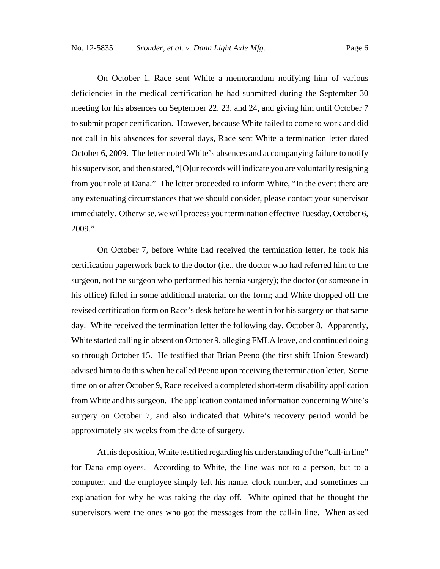On October 1, Race sent White a memorandum notifying him of various deficiencies in the medical certification he had submitted during the September 30 meeting for his absences on September 22, 23, and 24, and giving him until October 7 to submit proper certification. However, because White failed to come to work and did not call in his absences for several days, Race sent White a termination letter dated October 6, 2009. The letter noted White's absences and accompanying failure to notify his supervisor, and then stated, "[O]ur records will indicate you are voluntarily resigning from your role at Dana." The letter proceeded to inform White, "In the event there are any extenuating circumstances that we should consider, please contact your supervisor immediately. Otherwise, we will process your termination effective Tuesday, October 6, 2009."

On October 7, before White had received the termination letter, he took his certification paperwork back to the doctor (i.e., the doctor who had referred him to the surgeon, not the surgeon who performed his hernia surgery); the doctor (or someone in his office) filled in some additional material on the form; and White dropped off the revised certification form on Race's desk before he went in for his surgery on that same day. White received the termination letter the following day, October 8. Apparently, White started calling in absent on October 9, alleging FMLA leave, and continued doing so through October 15. He testified that Brian Peeno (the first shift Union Steward) advised him to do this when he called Peeno upon receiving the termination letter. Some time on or after October 9, Race received a completed short-term disability application from White and his surgeon. The application contained information concerning White's surgery on October 7, and also indicated that White's recovery period would be approximately six weeks from the date of surgery.

At his deposition, White testified regarding his understanding of the "call-in line" for Dana employees. According to White, the line was not to a person, but to a computer, and the employee simply left his name, clock number, and sometimes an explanation for why he was taking the day off. White opined that he thought the supervisors were the ones who got the messages from the call-in line. When asked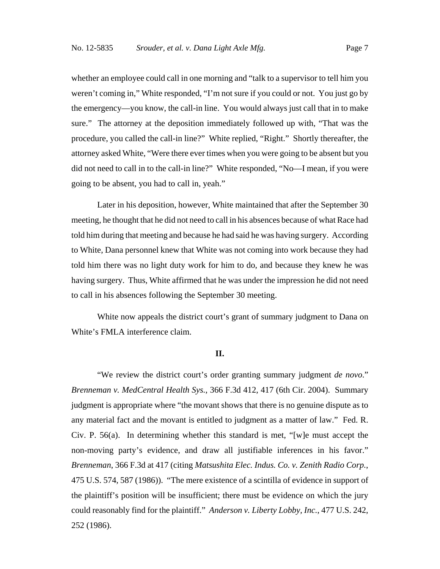whether an employee could call in one morning and "talk to a supervisor to tell him you weren't coming in," White responded, "I'm not sure if you could or not. You just go by the emergency—you know, the call-in line. You would always just call that in to make sure." The attorney at the deposition immediately followed up with, "That was the procedure, you called the call-in line?" White replied, "Right." Shortly thereafter, the attorney asked White, "Were there ever times when you were going to be absent but you did not need to call in to the call-in line?" White responded, "No—I mean, if you were going to be absent, you had to call in, yeah."

Later in his deposition, however, White maintained that after the September 30 meeting, he thought that he did not need to call in his absences because of what Race had told him during that meeting and because he had said he was having surgery. According to White, Dana personnel knew that White was not coming into work because they had told him there was no light duty work for him to do, and because they knew he was having surgery. Thus, White affirmed that he was under the impression he did not need to call in his absences following the September 30 meeting.

White now appeals the district court's grant of summary judgment to Dana on White's FMLA interference claim.

#### **II.**

"We review the district court's order granting summary judgment *de novo*." *Brenneman v. MedCentral Health Sys.*, 366 F.3d 412, 417 (6th Cir. 2004). Summary judgment is appropriate where "the movant shows that there is no genuine dispute as to any material fact and the movant is entitled to judgment as a matter of law." Fed. R. Civ. P. 56(a). In determining whether this standard is met, "[w]e must accept the non-moving party's evidence, and draw all justifiable inferences in his favor." *Brenneman*, 366 F.3d at 417 (citing *Matsushita Elec. Indus. Co. v. Zenith Radio Corp.*, 475 U.S. 574, 587 (1986)). "The mere existence of a scintilla of evidence in support of the plaintiff's position will be insufficient; there must be evidence on which the jury could reasonably find for the plaintiff." *Anderson v. Liberty Lobby, Inc.*, 477 U.S. 242, 252 (1986).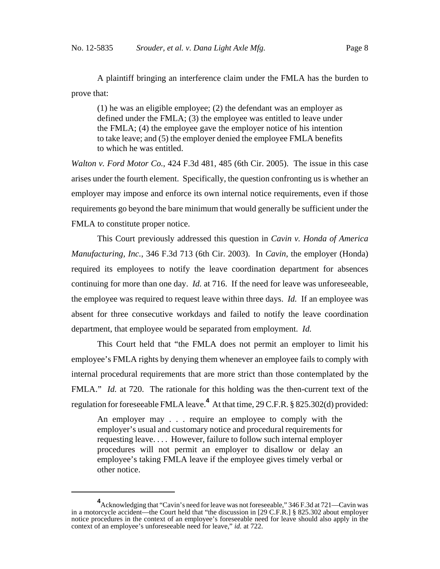A plaintiff bringing an interference claim under the FMLA has the burden to prove that:

(1) he was an eligible employee; (2) the defendant was an employer as defined under the FMLA; (3) the employee was entitled to leave under the FMLA; (4) the employee gave the employer notice of his intention to take leave; and (5) the employer denied the employee FMLA benefits to which he was entitled.

*Walton v. Ford Motor Co.*, 424 F.3d 481, 485 (6th Cir. 2005). The issue in this case arises under the fourth element. Specifically, the question confronting us is whether an employer may impose and enforce its own internal notice requirements, even if those requirements go beyond the bare minimum that would generally be sufficient under the FMLA to constitute proper notice.

This Court previously addressed this question in *Cavin v. Honda of America Manufacturing, Inc.*, 346 F.3d 713 (6th Cir. 2003). In *Cavin*, the employer (Honda) required its employees to notify the leave coordination department for absences continuing for more than one day. *Id.* at 716. If the need for leave was unforeseeable, the employee was required to request leave within three days. *Id.* If an employee was absent for three consecutive workdays and failed to notify the leave coordination department, that employee would be separated from employment. *Id.*

This Court held that "the FMLA does not permit an employer to limit his employee's FMLA rights by denying them whenever an employee fails to comply with internal procedural requirements that are more strict than those contemplated by the FMLA." *Id.* at 720. The rationale for this holding was the then-current text of the regulation for foreseeable FMLA leave.**<sup>4</sup>** At that time, 29 C.F.R. § 825.302(d) provided:

An employer may . . . require an employee to comply with the employer's usual and customary notice and procedural requirements for requesting leave. . . . However, failure to follow such internal employer procedures will not permit an employer to disallow or delay an employee's taking FMLA leave if the employee gives timely verbal or other notice.

**<sup>4</sup>** Acknowledging that "Cavin's need for leave was not foreseeable," 346 F.3d at 721—Cavin was in a motorcycle accident—the Court held that "the discussion in [29 C.F.R.] § 825.302 about employer notice procedures in the context of an employee's foreseeable need for leave should also apply in the context of an employee's unforeseeable need for leave," *id.* at 722.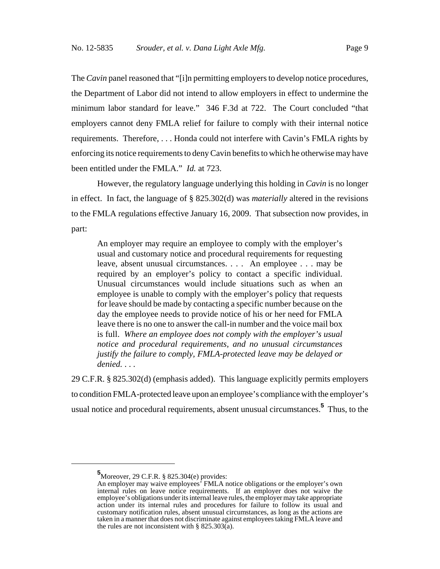The *Cavin* panel reasoned that "[i]n permitting employers to develop notice procedures, the Department of Labor did not intend to allow employers in effect to undermine the minimum labor standard for leave." 346 F.3d at 722. The Court concluded "that employers cannot deny FMLA relief for failure to comply with their internal notice requirements. Therefore, . . . Honda could not interfere with Cavin's FMLA rights by enforcing its notice requirements to deny Cavin benefits to which he otherwise may have been entitled under the FMLA." *Id.* at 723.

However, the regulatory language underlying this holding in *Cavin* is no longer in effect. In fact, the language of § 825.302(d) was *materially* altered in the revisions to the FMLA regulations effective January 16, 2009. That subsection now provides, in part:

An employer may require an employee to comply with the employer's usual and customary notice and procedural requirements for requesting leave, absent unusual circumstances. . . . An employee . . . may be required by an employer's policy to contact a specific individual. Unusual circumstances would include situations such as when an employee is unable to comply with the employer's policy that requests for leave should be made by contacting a specific number because on the day the employee needs to provide notice of his or her need for FMLA leave there is no one to answer the call-in number and the voice mail box is full. *Where an employee does not comply with the employer's usual notice and procedural requirements, and no unusual circumstances justify the failure to comply, FMLA-protected leave may be delayed or denied.* . . .

29 C.F.R. § 825.302(d) (emphasis added). This language explicitly permits employers to condition FMLA-protected leave upon an employee's compliance with the employer's usual notice and procedural requirements, absent unusual circumstances.**<sup>5</sup>** Thus, to the

**<sup>5</sup>** Moreover, 29 C.F.R. § 825.304(e) provides:

An employer may waive employees' FMLA notice obligations or the employer's own internal rules on leave notice requirements. If an employer does not waive the employee's obligations under its internal leave rules, the employer may take appropriate action under its internal rules and procedures for failure to follow its usual and customary notification rules, absent unusual circumstances, as long as the actions are taken in a manner that does not discriminate against employees taking FMLA leave and the rules are not inconsistent with  $\S$  825.303(a).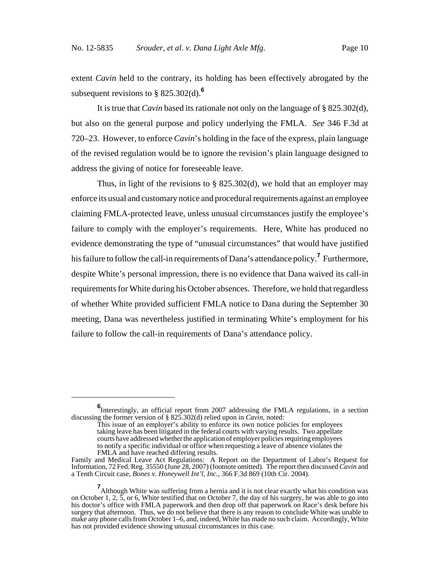extent *Cavin* held to the contrary, its holding has been effectively abrogated by the subsequent revisions to § 825.302(d).**<sup>6</sup>**

It is true that *Cavin* based its rationale not only on the language of § 825.302(d), but also on the general purpose and policy underlying the FMLA. *See* 346 F.3d at 720–23. However, to enforce *Cavin*'s holding in the face of the express, plain language of the revised regulation would be to ignore the revision's plain language designed to address the giving of notice for foreseeable leave.

Thus, in light of the revisions to  $\S$  825.302(d), we hold that an employer may enforce its usual and customary notice and procedural requirements against an employee claiming FMLA-protected leave, unless unusual circumstances justify the employee's failure to comply with the employer's requirements. Here, White has produced no evidence demonstrating the type of "unusual circumstances" that would have justified his failure to follow the call-in requirements of Dana's attendance policy.**<sup>7</sup>** Furthermore, despite White's personal impression, there is no evidence that Dana waived its call-in requirements for White during his October absences. Therefore, we hold that regardless of whether White provided sufficient FMLA notice to Dana during the September 30 meeting, Dana was nevertheless justified in terminating White's employment for his failure to follow the call-in requirements of Dana's attendance policy.

**<sup>6</sup>**<br>Interestingly, an official report from 2007 addressing the FMLA regulations, in a section discussing the former version of § 825.302(d) relied upon in *Cavin*, noted:

This issue of an employer's ability to enforce its own notice policies for employees taking leave has been litigated in the federal courts with varying results. Two appellate courts have addressed whether the application of employer policies requiring employees to notify a specific individual or office when requesting a leave of absence violates the FMLA and have reached differing results.

Family and Medical Leave Act Regulations: A Report on the Department of Labor's Request for Information, 72 Fed. Reg. 35550 (June 28, 2007) (footnote omitted). The report then discussed *Cavin* and a Tenth Circuit case, *Bones v. Honeywell Int'l, Inc.*, 366 F.3d 869 (10th Cir. 2004).

**<sup>7</sup>**<br>Although White was suffering from a hernia and it is not clear exactly what his condition was on October 1, 2, 5, or 6, White testified that on October 7, the day of his surgery, he was able to go into his doctor's office with FMLA paperwork and then drop off that paperwork on Race's desk before his surgery that afternoon. Thus, we do not believe that there is any reason to conclude White was unable to make any phone calls from October 1–6, and, indeed, White has made no such claim. Accordingly, White has not provided evidence showing unusual circumstances in this case.